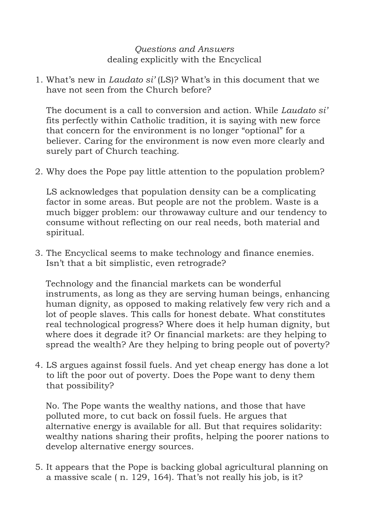## *Questions and Answers* dealing explicitly with the Encyclical

1. What's new in *Laudato si'* (LS)? What's in this document that we have not seen from the Church before?

The document is a call to conversion and action. While *Laudato si'* fits perfectly within Catholic tradition, it is saying with new force that concern for the environment is no longer "optional" for a believer. Caring for the environment is now even more clearly and surely part of Church teaching.

2. Why does the Pope pay little attention to the population problem?

LS acknowledges that population density can be a complicating factor in some areas. But people are not the problem. Waste is a much bigger problem: our throwaway culture and our tendency to consume without reflecting on our real needs, both material and spiritual.

3. The Encyclical seems to make technology and finance enemies. Isn't that a bit simplistic, even retrograde?

Technology and the financial markets can be wonderful instruments, as long as they are serving human beings, enhancing human dignity, as opposed to making relatively few very rich and a lot of people slaves. This calls for honest debate. What constitutes real technological progress? Where does it help human dignity, but where does it degrade it? Or financial markets: are they helping to spread the wealth? Are they helping to bring people out of poverty?

4. LS argues against fossil fuels. And yet cheap energy has done a lot to lift the poor out of poverty. Does the Pope want to deny them that possibility?

No. The Pope wants the wealthy nations, and those that have polluted more, to cut back on fossil fuels. He argues that alternative energy is available for all. But that requires solidarity: wealthy nations sharing their profits, helping the poorer nations to develop alternative energy sources.

5. It appears that the Pope is backing global agricultural planning on a massive scale ( n. 129, 164). That's not really his job, is it?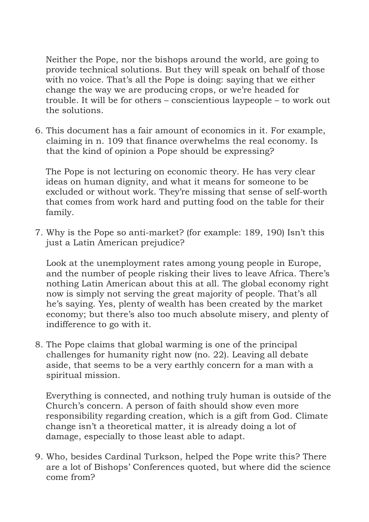Neither the Pope, nor the bishops around the world, are going to provide technical solutions. But they will speak on behalf of those with no voice. That's all the Pope is doing: saying that we either change the way we are producing crops, or we're headed for trouble. It will be for others – conscientious laypeople – to work out the solutions.

6. This document has a fair amount of economics in it. For example, claiming in n. 109 that finance overwhelms the real economy. Is that the kind of opinion a Pope should be expressing?

The Pope is not lecturing on economic theory. He has very clear ideas on human dignity, and what it means for someone to be excluded or without work. They're missing that sense of self-worth that comes from work hard and putting food on the table for their family.

7. Why is the Pope so anti-market? (for example: 189, 190) Isn't this just a Latin American prejudice?

Look at the unemployment rates among young people in Europe, and the number of people risking their lives to leave Africa. There's nothing Latin American about this at all. The global economy right now is simply not serving the great majority of people. That's all he's saying. Yes, plenty of wealth has been created by the market economy; but there's also too much absolute misery, and plenty of indifference to go with it.

8. The Pope claims that global warming is one of the principal challenges for humanity right now (no. 22). Leaving all debate aside, that seems to be a very earthly concern for a man with a spiritual mission.

Everything is connected, and nothing truly human is outside of the Church's concern. A person of faith should show even more responsibility regarding creation, which is a gift from God. Climate change isn't a theoretical matter, it is already doing a lot of damage, especially to those least able to adapt.

9. Who, besides Cardinal Turkson, helped the Pope write this? There are a lot of Bishops' Conferences quoted, but where did the science come from?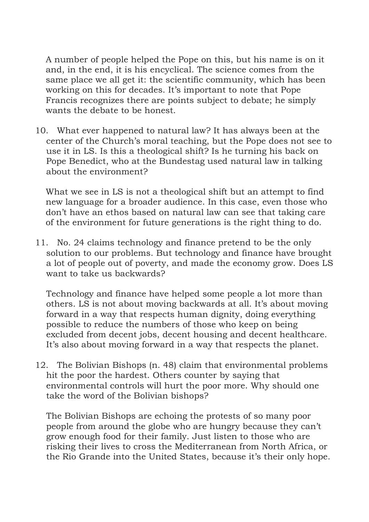A number of people helped the Pope on this, but his name is on it and, in the end, it is his encyclical. The science comes from the same place we all get it: the scientific community, which has been working on this for decades. It's important to note that Pope Francis recognizes there are points subject to debate; he simply wants the debate to be honest.

10. What ever happened to natural law? It has always been at the center of the Church's moral teaching, but the Pope does not see to use it in LS. Is this a theological shift? Is he turning his back on Pope Benedict, who at the Bundestag used natural law in talking about the environment?

What we see in LS is not a theological shift but an attempt to find new language for a broader audience. In this case, even those who don't have an ethos based on natural law can see that taking care of the environment for future generations is the right thing to do.

11. No. 24 claims technology and finance pretend to be the only solution to our problems. But technology and finance have brought a lot of people out of poverty, and made the economy grow. Does LS want to take us backwards?

Technology and finance have helped some people a lot more than others. LS is not about moving backwards at all. It's about moving forward in a way that respects human dignity, doing everything possible to reduce the numbers of those who keep on being excluded from decent jobs, decent housing and decent healthcare. It's also about moving forward in a way that respects the planet.

12. The Bolivian Bishops (n. 48) claim that environmental problems hit the poor the hardest. Others counter by saying that environmental controls will hurt the poor more. Why should one take the word of the Bolivian bishops?

The Bolivian Bishops are echoing the protests of so many poor people from around the globe who are hungry because they can't grow enough food for their family. Just listen to those who are risking their lives to cross the Mediterranean from North Africa, or the Rio Grande into the United States, because it's their only hope.